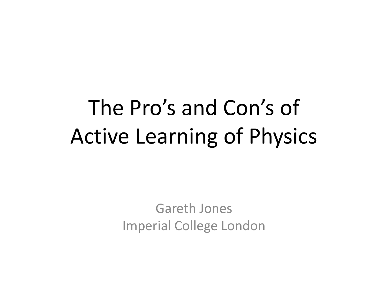# The Pro's and Con's of Active Learning of Physics

Gareth Jones Imperial College London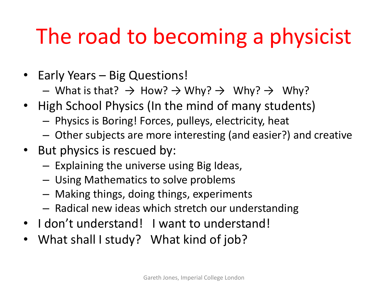# The road to becoming a physicist

- Early Years Big Questions!
	- What is that?  $\rightarrow$  How?  $\rightarrow$  Why?  $\rightarrow$  Why?  $\rightarrow$  Why?
- High School Physics (In the mind of many students)
	- Physics is Boring! Forces, pulleys, electricity, heat
	- Other subjects are more interesting (and easier?) and creative
- But physics is rescued by:
	- Explaining the universe using Big Ideas,
	- Using Mathematics to solve problems
	- Making things, doing things, experiments
	- Radical new ideas which stretch our understanding
- I don't understand! I want to understand!
- What shall I study? What kind of job?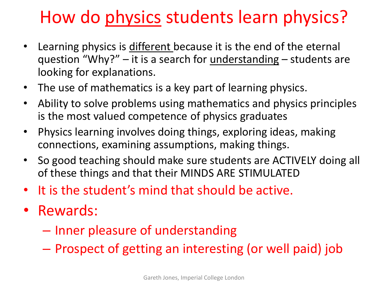# How do physics students learn physics?

- Learning physics is different because it is the end of the eternal question "Why?" – it is a search for understanding – students are looking for explanations.
- The use of mathematics is a key part of learning physics.
- Ability to solve problems using mathematics and physics principles is the most valued competence of physics graduates
- Physics learning involves doing things, exploring ideas, making connections, examining assumptions, making things.
- So good teaching should make sure students are ACTIVELY doing all of these things and that their MINDS ARE STIMULATED
- It is the student's mind that should be active.
- Rewards:
	- Inner pleasure of understanding
	- Prospect of getting an interesting (or well paid) job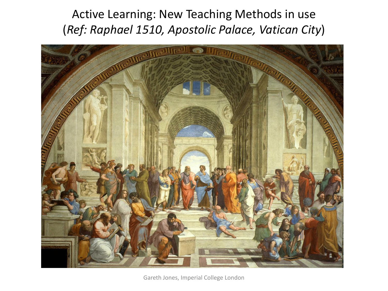Active Learning: New Teaching Methods in use (*Ref: Raphael 1510, Apostolic Palace, Vatican City*)



Gareth Jones, Imperial College London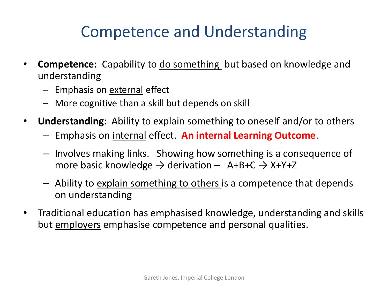### Competence and Understanding

- **Competence:** Capability to do something but based on knowledge and understanding
	- Emphasis on external effect
	- More cognitive than a skill but depends on skill
- **Understanding**: Ability to explain something to oneself and/or to others
	- Emphasis on internal effect. **An internal Learning Outcome**.
	- Involves making links. Showing how something is a consequence of more basic knowledge  $\rightarrow$  derivation – A+B+C  $\rightarrow$  X+Y+Z
	- Ability to *explain something to others* is a competence that depends on understanding
- Traditional education has emphasised knowledge, understanding and skills but employers emphasise competence and personal qualities.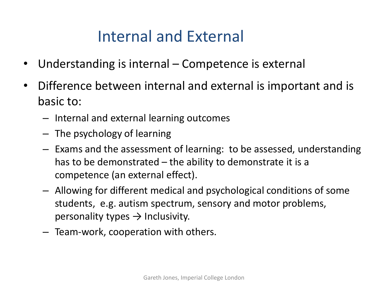#### Internal and External

- Understanding is internal Competence is external
- Difference between internal and external is important and is basic to:
	- Internal and external learning outcomes
	- The psychology of learning
	- Exams and the assessment of learning: to be assessed, understanding has to be demonstrated  $-$  the ability to demonstrate it is a competence (an external effect).
	- Allowing for different medical and psychological conditions of some students, e.g. autism spectrum, sensory and motor problems, personality types  $\rightarrow$  Inclusivity.
	- Team-work, cooperation with others.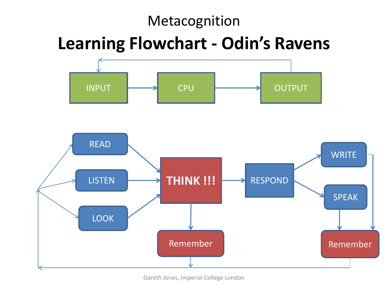#### Metacognition

### **Learning Flowchart - Odin's Ravens**



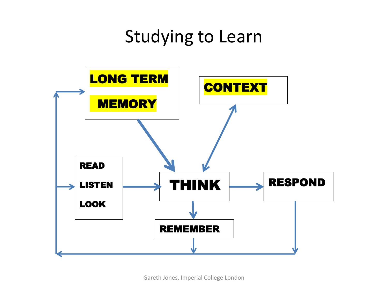## Studying to Learn

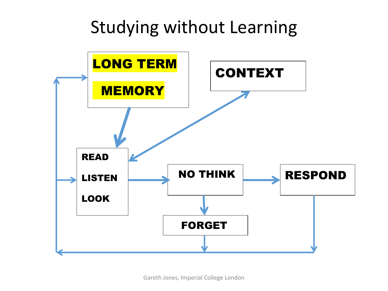## Studying without Learning



Gareth Jones, Imperial College London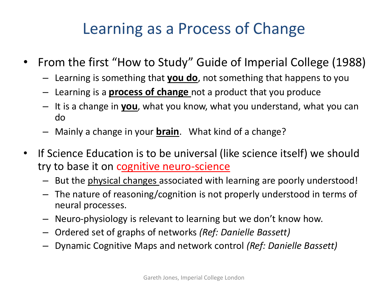### Learning as a Process of Change

- From the first "How to Study" Guide of Imperial College (1988)
	- Learning is something that **you do**, not something that happens to you
	- Learning is a **process of change** not a product that you produce
	- It is a change in **you**, what you know, what you understand, what you can do
	- Mainly a change in your **brain**. What kind of a change?
- If Science Education is to be universal (like science itself) we should try to base it on cognitive neuro-science
	- But the physical changes associated with learning are poorly understood!
	- The nature of reasoning/cognition is not properly understood in terms of neural processes.
	- Neuro-physiology is relevant to learning but we don't know how.
	- Ordered set of graphs of networks *(Ref: Danielle Bassett)*
	- Dynamic Cognitive Maps and network control *(Ref: Danielle Bassett)*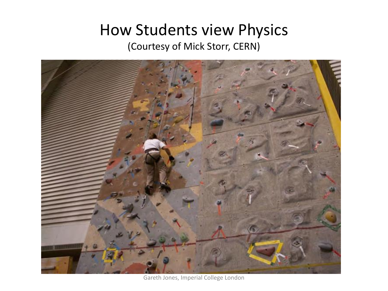#### How Students view Physics (Courtesy of Mick Storr, CERN)



Gareth Jones, Imperial College London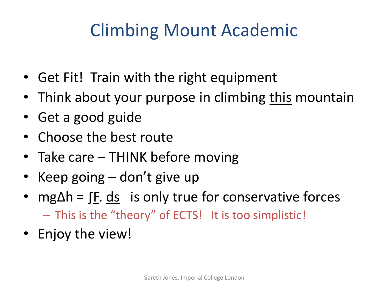# Climbing Mount Academic

- Get Fit! Train with the right equipment
- Think about your purpose in climbing this mountain
- Get a good guide
- Choose the best route
- Take care THINK before moving
- Keep going don't give up
- mg∆h = ∫F. ds is only true for conservative forces – This is the "theory" of ECTS! It is too simplistic!
- Enjoy the view!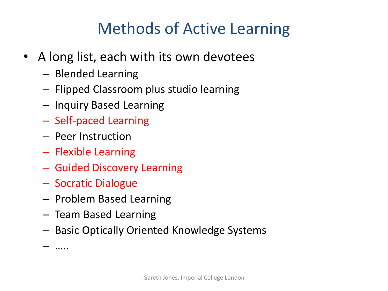### Methods of Active Learning

- A long list, each with its own devotees
	- Blended Learning
	- Flipped Classroom plus studio learning
	- Inquiry Based Learning
	- Self-paced Learning
	- Peer Instruction
	- Flexible Learning
	- Guided Discovery Learning
	- Socratic Dialogue
	- Problem Based Learning
	- Team Based Learning
	- Basic Optically Oriented Knowledge Systems

– …..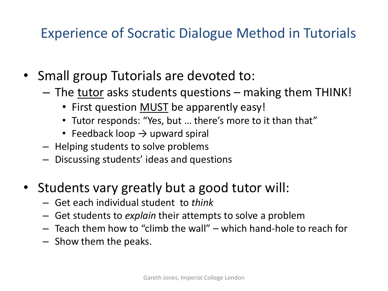#### Experience of Socratic Dialogue Method in Tutorials

- Small group Tutorials are devoted to:
	- The tutor asks students questions making them THINK!
		- First question **MUST** be apparently easy!
		- Tutor responds: "Yes, but … there's more to it than that"
		- Feedback loop  $\rightarrow$  upward spiral
	- Helping students to solve problems
	- Discussing students' ideas and questions
- Students vary greatly but a good tutor will:
	- Get each individual student to *think*
	- Get students to *explain* their attempts to solve a problem
	- Teach them how to "climb the wall" which hand-hole to reach for
	- Show them the peaks.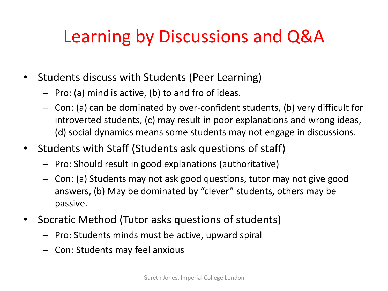# Learning by Discussions and Q&A

- Students discuss with Students (Peer Learning)
	- Pro: (a) mind is active, (b) to and fro of ideas.
	- Con: (a) can be dominated by over-confident students, (b) very difficult for introverted students, (c) may result in poor explanations and wrong ideas, (d) social dynamics means some students may not engage in discussions.
- Students with Staff (Students ask questions of staff)
	- Pro: Should result in good explanations (authoritative)
	- Con: (a) Students may not ask good questions, tutor may not give good answers, (b) May be dominated by "clever" students, others may be passive.
- Socratic Method (Tutor asks questions of students)
	- Pro: Students minds must be active, upward spiral
	- Con: Students may feel anxious